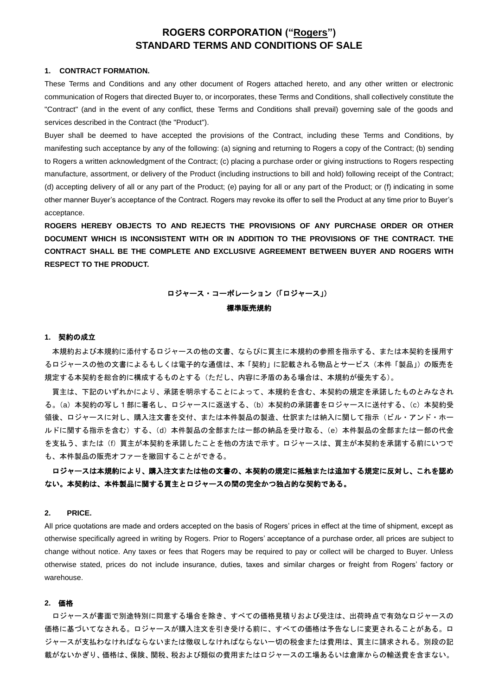# **ROGERS CORPORATION ("Rogers") STANDARD TERMS AND CONDITIONS OF SALE**

## **1. CONTRACT FORMATION.**

These Terms and Conditions and any other document of Rogers attached hereto, and any other written or electronic communication of Rogers that directed Buyer to, or incorporates, these Terms and Conditions, shall collectively constitute the "Contract" (and in the event of any conflict, these Terms and Conditions shall prevail) governing sale of the goods and services described in the Contract (the "Product").

Buyer shall be deemed to have accepted the provisions of the Contract, including these Terms and Conditions, by manifesting such acceptance by any of the following: (a) signing and returning to Rogers a copy of the Contract; (b) sending to Rogers a written acknowledgment of the Contract; (c) placing a purchase order or giving instructions to Rogers respecting manufacture, assortment, or delivery of the Product (including instructions to bill and hold) following receipt of the Contract; (d) accepting delivery of all or any part of the Product; (e) paying for all or any part of the Product; or (f) indicating in some other manner Buyer's acceptance of the Contract. Rogers may revoke its offer to sell the Product at any time prior to Buyer's acceptance.

**ROGERS HEREBY OBJECTS TO AND REJECTS THE PROVISIONS OF ANY PURCHASE ORDER OR OTHER DOCUMENT WHICH IS INCONSISTENT WITH OR IN ADDITION TO THE PROVISIONS OF THE CONTRACT. THE CONTRACT SHALL BE THE COMPLETE AND EXCLUSIVE AGREEMENT BETWEEN BUYER AND ROGERS WITH RESPECT TO THE PRODUCT.** 

# ロジャース・コーポレーション(「ロジャース」) 標準販売規約

#### **1.** 契約の成立

本規約および本規約に添付するロジャースの他の文書、ならびに買主に本規約の参照を指示する、または本契約を援用す るロジャースの他の文書によるもしくは電子的な通信は、本「契約」に記載される物品とサービス(本件「製品」)の販売を 規定する本契約を総合的に構成するものとする(ただし、内容に矛盾のある場合は、本規約が優先する)。

買主は、下記のいずれかにより、承諾を明示することによって、本規約を含む、本契約の規定を承諾したものとみなされ る。(a)本契約の写し1部に署名し、ロジャースに返送する、(b)本契約の承諾書をロジャースに送付する、(c)本契約受 領後、ロジャースに対し、購入注文書を交付、または本件製品の製造、仕訳または納入に関して指示(ビル・アンド・ホー ルドに関する指示を含む)する、(d)本件製品の全部または一部の納品を受け取る、(e)本件製品の全部または一部の代金 を支払う、または(f)買主が本契約を承諾したことを他の方法で示す。ロジャースは、買主が本契約を承諾する前にいつで も、本件製品の販売オファーを撤回することができる。

## ロジャースは本規約により、購入注文または他の文書の、本契約の規定に抵触または追加する規定に反対し、これを認め ない。本契約は、本件製品に関する買主とロジャースの間の完全かつ独占的な契約である。

## **2. PRICE.**

All price quotations are made and orders accepted on the basis of Rogers' prices in effect at the time of shipment, except as otherwise specifically agreed in writing by Rogers. Prior to Rogers' acceptance of a purchase order, all prices are subject to change without notice. Any taxes or fees that Rogers may be required to pay or collect will be charged to Buyer. Unless otherwise stated, prices do not include insurance, duties, taxes and similar charges or freight from Rogers' factory or warehouse.

#### **2.** 価格

ロジャースが書面で別途特別に同意する場合を除き、すべての価格見積りおよび受注は、出荷時点で有効なロジャースの 価格に基づいてなされる。ロジャースが購入注文を引き受ける前に、すべての価格は予告なしに変更されることがある。ロ ジャースが支払わなければならないまたは徴収しなければならない一切の税金または費用は、買主に請求される。別段の記 載がないかぎり、価格は、保険、関税、税および類似の費用またはロジャースの工場あるいは倉庫からの輸送費を含まない。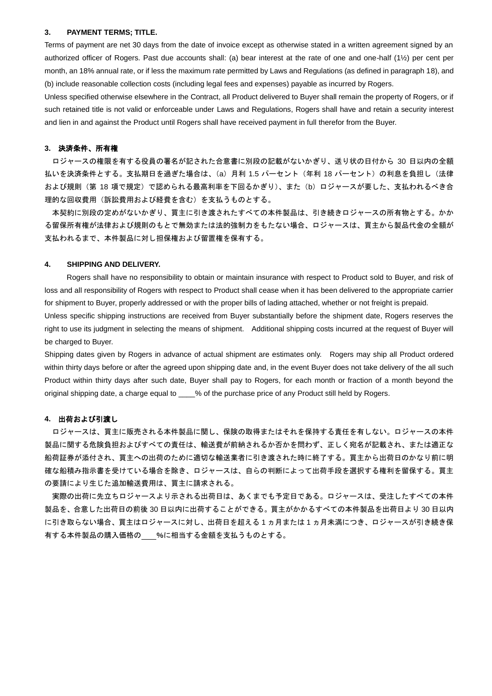#### **3. PAYMENT TERMS; TITLE.**

Terms of payment are net 30 days from the date of invoice except as otherwise stated in a written agreement signed by an authorized officer of Rogers. Past due accounts shall: (a) bear interest at the rate of one and one-half (1½) per cent per month, an 18% annual rate, or if less the maximum rate permitted by Laws and Regulations (as defined in paragraph 18), and (b) include reasonable collection costs (including legal fees and expenses) payable as incurred by Rogers.

Unless specified otherwise elsewhere in the Contract, all Product delivered to Buyer shall remain the property of Rogers, or if such retained title is not valid or enforceable under Laws and Regulations, Rogers shall have and retain a security interest and lien in and against the Product until Rogers shall have received payment in full therefor from the Buyer.

## **3.** 決済条件、所有権

ロジャースの権限を有する役員の署名が記された合意書に別段の記載がないかぎり、送り状の日付から 30 日以内の全額 払いを決済条件とする。支払期日を過ぎた場合は、(a)月利 1.5 パーセント(年利 18 パーセント)の利息を負担し(法律 および規則(第 18 項で規定)で認められる最高利率を下回るかぎり)、また(b)ロジャースが要した、支払われるべき合 理的な回収費用(訴訟費用および経費を含む)を支払うものとする。

本契約に別段の定めがないかぎり、買主に引き渡されたすべての本件製品は、引き続きロジャースの所有物とする。かか る留保所有権が法律および規則のもとで無効または法的強制力をもたない場合、ロジャースは、買主から製品代金の全額が 支払われるまで、本件製品に対し担保権および留置権を保有する。

#### **4. SHIPPING AND DELIVERY.**

Rogers shall have no responsibility to obtain or maintain insurance with respect to Product sold to Buyer, and risk of loss and all responsibility of Rogers with respect to Product shall cease when it has been delivered to the appropriate carrier for shipment to Buyer, properly addressed or with the proper bills of lading attached, whether or not freight is prepaid.

Unless specific shipping instructions are received from Buyer substantially before the shipment date, Rogers reserves the right to use its judgment in selecting the means of shipment. Additional shipping costs incurred at the request of Buyer will be charged to Buyer.

Shipping dates given by Rogers in advance of actual shipment are estimates only. Rogers may ship all Product ordered within thirty days before or after the agreed upon shipping date and, in the event Buyer does not take delivery of the all such Product within thirty days after such date, Buyer shall pay to Rogers, for each month or fraction of a month beyond the original shipping date, a charge equal to \_\_\_\_% of the purchase price of any Product still held by Rogers.

## **4.** 出荷および引渡し

ロジャースは、買主に販売される本件製品に関し、保険の取得またはそれを保持する責任を有しない。ロジャースの本件 製品に関する危険負担およびすべての責任は、輸送費が前納されるか否かを問わず、正しく宛名が記載され、または適正な 船荷証券が添付され、買主への出荷のために適切な輸送業者に引き渡された時に終了する。買主から出荷日のかなり前に明 確な船積み指示書を受けている場合を除き、ロジャースは、自らの判断によって出荷手段を選択する権利を留保する。買主 の要請により生じた追加輸送費用は、買主に請求される。

実際の出荷に先立ちロジャースより示される出荷日は、あくまでも予定日である。ロジャースは、受注したすべての本件 製品を、合意した出荷日の前後 30 日以内に出荷することができる。買主がかかるすべての本件製品を出荷日より 30 日以内 に引き取らない場合、買主はロジャースに対し、出荷日を超える 1 ヵ月または 1 ヵ月未満につき、ロジャースが引き続き保 有する本件製品の購入価格の %に相当する金額を支払うものとする。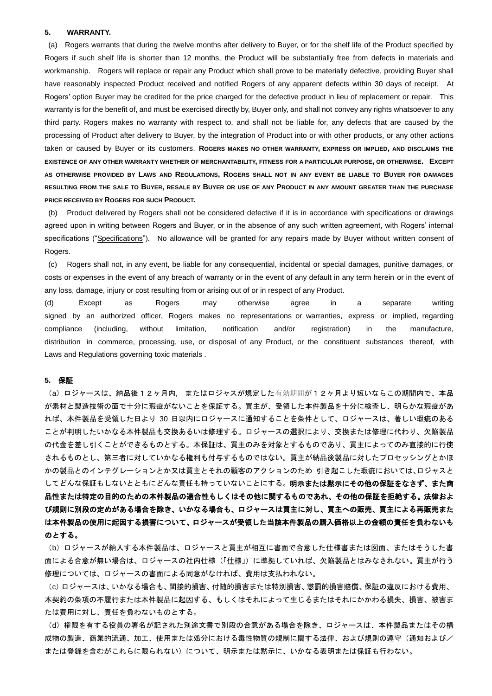#### **5. WARRANTY.**

(a) Rogers warrants that during the twelve months after delivery to Buyer, or for the shelf life of the Product specified by Rogers if such shelf life is shorter than 12 months, the Product will be substantially free from defects in materials and workmanship. Rogers will replace or repair any Product which shall prove to be materially defective, providing Buyer shall have reasonably inspected Product received and notified Rogers of any apparent defects within 30 days of receipt. At Rogers' option Buyer may be credited for the price charged for the defective product in lieu of replacement or repair. This warranty is for the benefit of, and must be exercised directly by, Buyer only, and shall not convey any rights whatsoever to any third party. Rogers makes no warranty with respect to, and shall not be liable for, any defects that are caused by the processing of Product after delivery to Buyer, by the integration of Product into or with other products, or any other actions taken or caused by Buyer or its customers. **ROGERS MAKES NO OTHER WARRANTY, EXPRESS OR IMPLIED, AND DISCLAIMS THE EXISTENCE OF ANY OTHER WARRANTY WHETHER OF MERCHANTABILITY, FITNESS FOR A PARTICULAR PURPOSE, OR OTHERWISE. EXCEPT AS OTHERWISE PROVIDED BY LAWS AND REGULATIONS, ROGERS SHALL NOT IN ANY EVENT BE LIABLE TO BUYER FOR DAMAGES RESULTING FROM THE SALE TO BUYER, RESALE BY BUYER OR USE OF ANY PRODUCT IN ANY AMOUNT GREATER THAN THE PURCHASE PRICE RECEIVED BY ROGERS FOR SUCH PRODUCT.**

(b) Product delivered by Rogers shall not be considered defective if it is in accordance with specifications or drawings agreed upon in writing between Rogers and Buyer, or in the absence of any such written agreement, with Rogers' internal specifications ("Specifications"). No allowance will be granted for any repairs made by Buyer without written consent of Rogers.

(c) Rogers shall not, in any event, be liable for any consequential, incidental or special damages, punitive damages, or costs or expenses in the event of any breach of warranty or in the event of any default in any term herein or in the event of any loss, damage, injury or cost resulting from or arising out of or in respect of any Product.

(d) Except as Rogers may otherwise agree in a separate writing signed by an authorized officer, Rogers makes no representations or warranties, express or implied, regarding compliance (including, without limitation, notification and/or registration) in the manufacture, distribution in commerce, processing, use, or disposal of any Product, or the constituent substances thereof, with Laws and Regulations governing toxic materials .

#### **5.** 保証

(a) ロジャースは、納品後12ヶ月内, またはロジャスが規定した有効期間が12ヶ月より短いならこの期間内で、本品 が素材と製造技術の面で十分に瑕疵がないことを保証する。買主が、受領した本件製品を十分に検査し、明らかな瑕疵があ れば、本件製品を受領した日より 30 日以内にロジャースに通知することを条件として、ロジャースは、著しい瑕疵のある ことが判明したいかなる本件製品も交換あるいは修理する。ロジャースの選択により、交換または修理に代わり、欠陥製品 の代金を差し引くことができるものとする。本保証は、買主のみを対象とするものであり、買主によってのみ直接的に行使 されるものとし、第三者に対していかなる権利も付与するものではない。買主が納品後製品に対したプロセッシングとかほ かの製品とのインテグレーションとか又は買主とそれの顧客のアクションのため 引き起こした瑕疵においては、ロジャスと してどんな保証もしないとともにどんな責任も持っていないことにする。明示または黙示にその他の保証をなさず、また商 品性または特定の目的のための本件製品の適合性もしくはその他に関するものであれ、その他の保証を拒絶する。法律およ び規則に別段の定めがある場合を除き、いかなる場合も、ロジャースは買主に対し、買主への販売、買主による再販売また は本件製品の使用に起因する損害について、ロジャースが受領した当該本件製品の購入価格以上の金額の責任を負わないも のとする。

(b) ロジャースが納入する本件製品は、ロジャースと買主が相互に書面で合意した仕様書または図面、またはそうした書 面による合意が無い場合は、ロジャースの社内仕様(「仕様」)に準拠していれば、欠陥製品とはみなされない。買主が行う 修理については、ロジャースの書面による同意がなければ、費用は支払われない。

(c)ロジャースは、いかなる場合も、間接的損害、付随的損害または特別損害、懲罰的損害賠償、保証の違反における費用、 本契約の条項の不履行または本件製品に起因する、もしくはそれによって生じるまたはそれにかかわる損失、損害、被害ま たは費用に対し、責任を負わないものとする。

(d)権限を有する役員の署名が記された別途文書で別段の合意がある場合を除き、ロジャースは、本件製品またはその構 成物の製造、商業的流通、加工、使用または処分における毒性物質の規制に関する法律、および規則の遵守(通知および/ または登録を含むがこれらに限られない)について、明示または黙示に、いかなる表明または保証も行わない。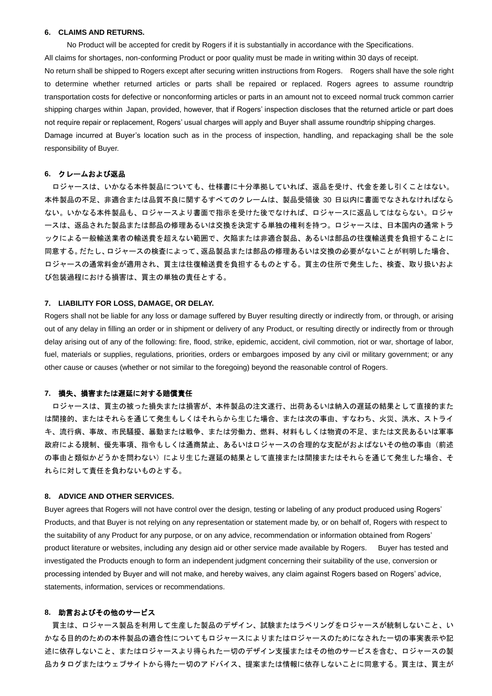#### **6. CLAIMS AND RETURNS.**

No Product will be accepted for credit by Rogers if it is substantially in accordance with the Specifications.

All claims for shortages, non-conforming Product or poor quality must be made in writing within 30 days of receipt.

No return shall be shipped to Rogers except after securing written instructions from Rogers. Rogers shall have the sole right to determine whether returned articles or parts shall be repaired or replaced. Rogers agrees to assume roundtrip transportation costs for defective or nonconforming articles or parts in an amount not to exceed normal truck common carrier shipping charges within Japan, provided, however, that if Rogers' inspection discloses that the returned article or part does not require repair or replacement, Rogers' usual charges will apply and Buyer shall assume roundtrip shipping charges.

Damage incurred at Buyer's location such as in the process of inspection, handling, and repackaging shall be the sole responsibility of Buyer.

#### **6.** クレームおよび返品

ロジャースは、いかなる本件製品についても、仕様書に十分準拠していれば、返品を受け、代金を差し引くことはない。 本件製品の不足、非適合または品質不良に関するすべてのクレームは、製品受領後 30 日以内に書面でなされなければなら ない。いかなる本件製品も、ロジャースより書面で指示を受けた後でなければ、ロジャースに返品してはならない。ロジャ ースは、返品された製品または部品の修理あるいは交換を決定する単独の権利を持つ。ロジャースは、日本国内の通常トラ ックによる一般輸送業者の輸送費を超えない範囲で、欠陥または非適合製品、あるいは部品の往復輸送費を負担することに 同意する。だたし、ロジャースの検査によって、返品製品または部品の修理あるいは交換の必要がないことが判明した場合、 ロジャースの通常料金が適用され、買主は往復輸送費を負担するものとする。買主の住所で発生した、検査、取り扱いおよ び包装過程における損害は、買主の単独の責任とする。

## **7. LIABILITY FOR LOSS, DAMAGE, OR DELAY.**

Rogers shall not be liable for any loss or damage suffered by Buyer resulting directly or indirectly from, or through, or arising out of any delay in filling an order or in shipment or delivery of any Product, or resulting directly or indirectly from or through delay arising out of any of the following: fire, flood, strike, epidemic, accident, civil commotion, riot or war, shortage of labor, fuel, materials or supplies, regulations, priorities, orders or embargoes imposed by any civil or military government; or any other cause or causes (whether or not similar to the foregoing) beyond the reasonable control of Rogers.

## **7.** 損失、損害または遅延に対する賠償責任

ロジャースは、買主の被った損失または損害が、本件製品の注文遂行、出荷あるいは納入の遅延の結果として直接的また は間接的、またはそれらを通じて発生もしくはそれらから生じた場合、または次の事由、すなわち、火災、洪水、ストライ キ、流行病、事故、市民騒擾、暴動または戦争、または労働力、燃料、材料もしくは物資の不足、または文民あるいは軍事 政府による規制、優先事項、指令もしくは通商禁止、あるいはロジャースの合理的な支配がおよばないその他の事由(前述 の事由と類似かどうかを問わない)により生じた遅延の結果として直接または間接またはそれらを通じて発生した場合、そ れらに対して責任を負わないものとする。

## **8. ADVICE AND OTHER SERVICES.**

Buyer agrees that Rogers will not have control over the design, testing or labeling of any product produced using Rogers' Products, and that Buyer is not relying on any representation or statement made by, or on behalf of, Rogers with respect to the suitability of any Product for any purpose, or on any advice, recommendation or information obtained from Rogers' product literature or websites, including any design aid or other service made available by Rogers. Buyer has tested and investigated the Products enough to form an independent judgment concerning their suitability of the use, conversion or processing intended by Buyer and will not make, and hereby waives, any claim against Rogers based on Rogers' advice, statements, information, services or recommendations.

## **8.** 助言およびその他のサービス

買主は、ロジャース製品を利用して生産した製品のデザイン、試験またはラベリングをロジャースが統制しないこと、い かなる目的のための本件製品の適合性についてもロジャースによりまたはロジャースのためになされた一切の事実表示や記 述に依存しないこと、またはロジャースより得られた一切のデザイン支援またはその他のサービスを含む、ロジャースの製 品カタログまたはウェブサイトから得た一切のアドバイス、提案または情報に依存しないことに同意する。買主は、買主が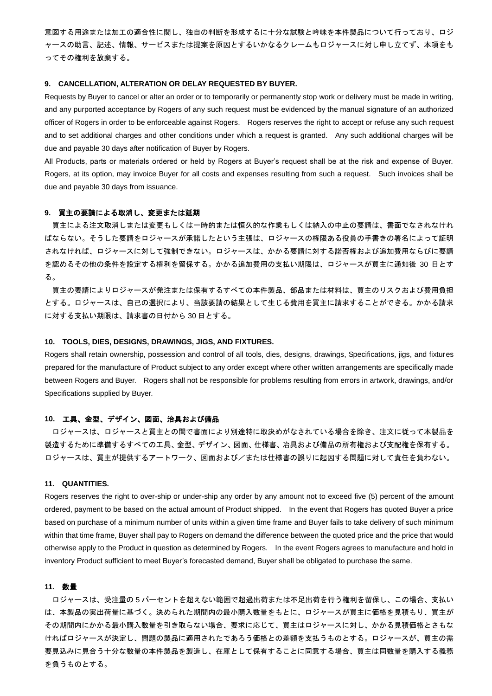意図する用途または加工の適合性に関し、独自の判断を形成するに十分な試験と吟味を本件製品について行っており、ロジ ャースの助言、記述、情報、サービスまたは提案を原因とするいかなるクレームもロジャースに対し申し立てず、本項をも ってその権利を放棄する。

#### **9. CANCELLATION, ALTERATION OR DELAY REQUESTED BY BUYER.**

Requests by Buyer to cancel or alter an order or to temporarily or permanently stop work or delivery must be made in writing, and any purported acceptance by Rogers of any such request must be evidenced by the manual signature of an authorized officer of Rogers in order to be enforceable against Rogers. Rogers reserves the right to accept or refuse any such request and to set additional charges and other conditions under which a request is granted. Any such additional charges will be due and payable 30 days after notification of Buyer by Rogers.

All Products, parts or materials ordered or held by Rogers at Buyer's request shall be at the risk and expense of Buyer. Rogers, at its option, may invoice Buyer for all costs and expenses resulting from such a request. Such invoices shall be due and payable 30 days from issuance.

## **9.** 買主の要請による取消し、変更または延期

買主による注文取消しまたは変更もしくは一時的または恒久的な作業もしくは納入の中止の要請は、書面でなされなけれ ばならない。そうした要請をロジャースが承諾したという主張は、ロジャースの権限ある役員の手書きの署名によって証明 されなければ、ロジャースに対して強制できない。ロジャースは、かかる要請に対する諾否権および追加費用ならびに要請 を認めるその他の条件を設定する権利を留保する。かかる追加費用の支払い期限は、ロジャースが買主に通知後 30 日とす る。

買主の要請によりロジャースが発注または保有するすべての本件製品、部品または材料は、買主のリスクおよび費用負担 とする。ロジャースは、自己の選択により、当該要請の結果として生じる費用を買主に請求することができる。かかる請求 に対する支払い期限は、請求書の日付から 30 日とする。

## **10. TOOLS, DIES, DESIGNS, DRAWINGS, JIGS, AND FIXTURES.**

Rogers shall retain ownership, possession and control of all tools, dies, designs, drawings, Specifications, jigs, and fixtures prepared for the manufacture of Product subject to any order except where other written arrangements are specifically made between Rogers and Buyer. Rogers shall not be responsible for problems resulting from errors in artwork, drawings, and/or Specifications supplied by Buyer.

## **10.** 工具、金型、デザイン、図面、治具および備品

ロジャースは、ロジャースと買主との間で書面により別途特に取決めがなされている場合を除き、注文に従って本製品を 製造するために準備するすべての工具、金型、デザイン、図面、仕様書、冶具および備品の所有権および支配権を保有する。 ロジャースは、買主が提供するアートワーク、図面および/または仕様書の誤りに起因する問題に対して責任を負わない。

#### **11. QUANTITIES.**

Rogers reserves the right to over-ship or under-ship any order by any amount not to exceed five (5) percent of the amount ordered, payment to be based on the actual amount of Product shipped. In the event that Rogers has quoted Buyer a price based on purchase of a minimum number of units within a given time frame and Buyer fails to take delivery of such minimum within that time frame, Buyer shall pay to Rogers on demand the difference between the quoted price and the price that would otherwise apply to the Product in question as determined by Rogers. In the event Rogers agrees to manufacture and hold in inventory Product sufficient to meet Buyer's forecasted demand, Buyer shall be obligated to purchase the same.

#### **11.** 数量

ロジャースは、受注量の 5 パーセントを超えない範囲で超過出荷または不足出荷を行う権利を留保し、この場合、支払い は、本製品の実出荷量に基づく。決められた期間内の最小購入数量をもとに、ロジャースが買主に価格を見積もり、買主が その期間内にかかる最小購入数量を引き取らない場合、要求に応じて、買主はロジャースに対し、かかる見積価格とさもな ければロジャースが決定し、問題の製品に適用されたであろう価格との差額を支払うものとする。ロジャースが、買主の需 要見込みに見合う十分な数量の本件製品を製造し、在庫として保有することに同意する場合、買主は同数量を購入する義務 を負うものとする。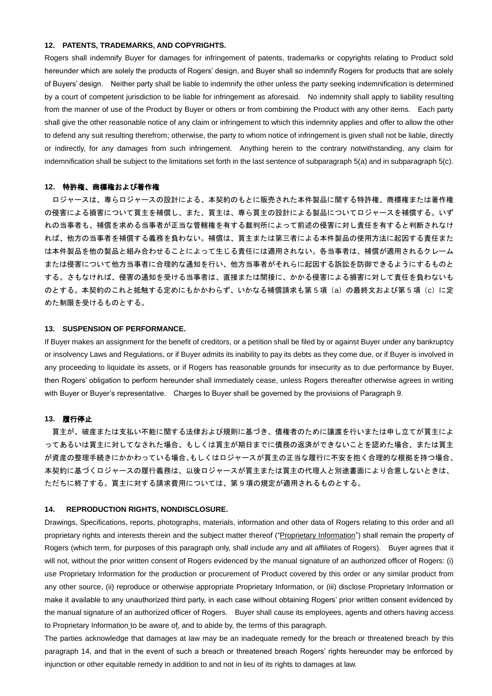#### **12. PATENTS, TRADEMARKS, AND COPYRIGHTS.**

Rogers shall indemnify Buyer for damages for infringement of patents, trademarks or copyrights relating to Product sold hereunder which are solely the products of Rogers' design, and Buyer shall so indemnify Rogers for products that are solely of Buyers' design. Neither party shall be liable to indemnify the other unless the party seeking indemnification is determined by a court of competent jurisdiction to be liable for infringement as aforesaid. No indemnity shall apply to liability resulting from the manner of use of the Product by Buyer or others or from combining the Product with any other items. Each party shall give the other reasonable notice of any claim or infringement to which this indemnity applies and offer to allow the other to defend any suit resulting therefrom; otherwise, the party to whom notice of infringement is given shall not be liable, directly or indirectly, for any damages from such infringement. Anything herein to the contrary notwithstanding, any claim for indemnification shall be subject to the limitations set forth in the last sentence of subparagraph 5(a) and in subparagraph 5(c).

## **12.** 特許権、商標権および著作権

 ロジャースは、専らロジャースの設計による、本契約のもとに販売された本件製品に関する特許権、商標権または著作権 の侵害による損害について買主を補償し、また、買主は、専ら買主の設計による製品についてロジャースを補償する。いず れの当事者も、補償を求める当事者が正当な管轄権を有する裁判所によって前述の侵害に対し責任を有すると判断されなけ れば、他方の当事者を補償する義務を負わない。補償は、買主または第三者による本件製品の使用方法に起因する責任また は本件製品を他の製品と組み合わせることによって生じる責任には適用されない。各当事者は、補償が適用されるクレーム または侵害について他方当事者に合理的な通知を行い、他方当事者がそれらに起因する訴訟を防御できるようにするものと する。さもなければ、侵害の通知を受ける当事者は、直接または間接に、かかる侵害による損害に対して責任を負わないも のとする。本契約のこれと抵触する定めにもかかわらず、いかなる補償請求も第5項(a)の最終文および第5項(c)に定 めた制限を受けるものとする。

#### **13. SUSPENSION OF PERFORMANCE.**

If Buyer makes an assignment for the benefit of creditors, or a petition shall be filed by or against Buyer under any bankruptcy or insolvency Laws and Regulations, or if Buyer admits its inability to pay its debts as they come due, or if Buyer is involved in any proceeding to liquidate its assets, or if Rogers has reasonable grounds for insecurity as to due performance by Buyer, then Rogers' obligation to perform hereunder shall immediately cease, unless Rogers thereafter otherwise agrees in writing with Buyer or Buyer's representative. Charges to Buyer shall be governed by the provisions of Paragraph 9.

## **13.** 履行停止

買主が、破産または支払い不能に関する法律および規則に基づき、債権者のために譲渡を行いまたは申し立てが買主によ ってあるいは買主に対してなされた場合、もしくは買主が期日までに債務の返済ができないことを認めた場合、または買主 が資産の整理手続きにかかわっている場合、もしくはロジャースが買主の正当な履行に不安を抱く合理的な根拠を持つ場合、 本契約に基づくロジャースの履行義務は、以後ロジャースが買主または買主の代理人と別途書面により合意しないときは、 ただちに終了する。買主に対する請求費用については、第 9 項の規定が適用されるものとする。

#### **14. REPRODUCTION RIGHTS, NONDISCLOSURE.**

Drawings, Specifications, reports, photographs, materials, information and other data of Rogers relating to this order and all proprietary rights and interests therein and the subject matter thereof ("Proprietary Information") shall remain the property of Rogers (which term, for purposes of this paragraph only, shall include any and all affiliates of Rogers). Buyer agrees that it will not, without the prior written consent of Rogers evidenced by the manual signature of an authorized officer of Rogers: (i) use Proprietary Information for the production or procurement of Product covered by this order or any similar product from any other source, (ii) reproduce or otherwise appropriate Proprietary Information, or (iii) disclose Proprietary Information or make it available to any unauthorized third party, in each case without obtaining Rogers' prior written consent evidenced by the manual signature of an authorized officer of Rogers. Buyer shall cause its employees, agents and others having access to Proprietary Information to be aware of, and to abide by, the terms of this paragraph.

The parties acknowledge that damages at law may be an inadequate remedy for the breach or threatened breach by this paragraph 14, and that in the event of such a breach or threatened breach Rogers' rights hereunder may be enforced by injunction or other equitable remedy in addition to and not in lieu of its rights to damages at law.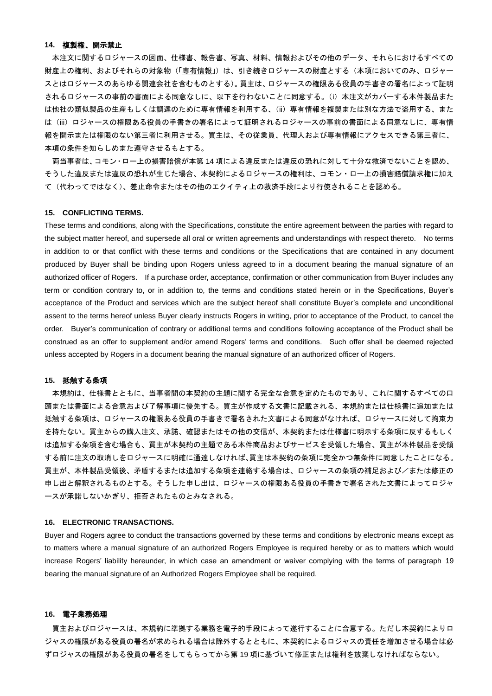## **14.** 複製権、開示禁止

本注文に関するロジャースの図面、仕様書、報告書、写真、材料、情報およびその他のデータ、それらにおけるすべての 財産上の権利、およびそれらの対象物(「専有情報」)は、引き続きロジャースの財産とする(本項においてのみ、ロジャー スとはロジャースのあらゆる関連会社を含むものとする)。買主は、ロジャースの権限ある役員の手書きの署名によって証明 されるロジャースの事前の書面による同意なしに、以下を行わないことに同意する。(i)本注文がカバーする本件製品また は他社の類似製品の生産もしくは調達のために専有情報を利用する、(ii)専有情報を複製または別な方法で盗用する、また は(iii)ロジャースの権限ある役員の手書きの署名によって証明されるロジャースの事前の書面による同意なしに、専有情 報を開示または権限のない第三者に利用させる。買主は、その従業員、代理人および専有情報にアクセスできる第三者に、 本項の条件を知らしめまた遵守させるもとする。

両当事者は、コモン・ロー上の損害賠償が本第 14 項による違反または違反の恐れに対して十分な救済でないことを認め、 そうした違反または違反の恐れが生じた場合、本契約によるロジャースの権利は、コモン・ロー上の損害賠償請求権に加え て(代わってではなく)、差止命令またはその他のエクイティ上の救済手段により行使されることを認める。

## **15. CONFLICTING TERMS.**

These terms and conditions, along with the Specifications, constitute the entire agreement between the parties with regard to the subject matter hereof, and supersede all oral or written agreements and understandings with respect thereto. No terms in addition to or that conflict with these terms and conditions or the Specifications that are contained in any document produced by Buyer shall be binding upon Rogers unless agreed to in a document bearing the manual signature of an authorized officer of Rogers. If a purchase order, acceptance, confirmation or other communication from Buyer includes any term or condition contrary to, or in addition to, the terms and conditions stated herein or in the Specifications, Buyer's acceptance of the Product and services which are the subject hereof shall constitute Buyer's complete and unconditional assent to the terms hereof unless Buyer clearly instructs Rogers in writing, prior to acceptance of the Product, to cancel the order. Buyer's communication of contrary or additional terms and conditions following acceptance of the Product shall be construed as an offer to supplement and/or amend Rogers' terms and conditions. Such offer shall be deemed rejected unless accepted by Rogers in a document bearing the manual signature of an authorized officer of Rogers.

#### **15.** 抵触する条項

 本規約は、仕様書とともに、当事者間の本契約の主題に関する完全な合意を定めたものであり、これに関するすべての口 頭または書面による合意および了解事項に優先する。買主が作成する文書に記載される、本規約または仕様書に追加または 抵触する条項は、ロジャースの権限ある役員の手書きで署名された文書による同意がなければ、ロジャースに対して拘束力 を持たない。買主からの購入注文、承諾、確認またはその他の交信が、本契約または仕様書に明示する条項に反するもしく は追加する条項を含む場合も、買主が本契約の主題である本件商品およびサービスを受領した場合、買主が本件製品を受領 する前に注文の取消しをロジャースに明確に通達しなければ、買主は本契約の条項に完全かつ無条件に同意したことになる。 買主が、本件製品受領後、矛盾するまたは追加する条項を連絡する場合は、ロジャースの条項の補足および/または修正の 申し出と解釈されるものとする。そうした申し出は、ロジャースの権限ある役員の手書きで署名された文書によってロジャ ースが承諾しないかぎり、拒否されたものとみなされる。

## **16. ELECTRONIC TRANSACTIONS.**

Buyer and Rogers agree to conduct the transactions governed by these terms and conditions by electronic means except as to matters where a manual signature of an authorized Rogers Employee is required hereby or as to matters which would increase Rogers' liability hereunder, in which case an amendment or waiver complying with the terms of paragraph 19 bearing the manual signature of an Authorized Rogers Employee shall be required.

#### **16.** 電子業務処理

買主およびロジャースは、本規約に準拠する業務を電子的手段によって遂行することに合意する。ただし本契約によりロ ジャスの権限がある役員の署名が求められる場合は除外するとともに、本契約によるロジャスの責任を増加させる場合は必 ずロジャスの権限がある役員の署名をしてもらってから第 19 項に基づいて修正または権利を放棄しなければならない。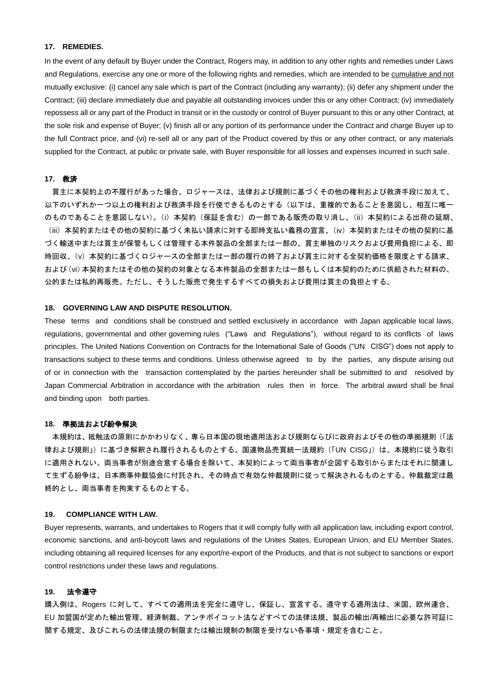## **17. REMEDIES.**

In the event of any default by Buyer under the Contract, Rogers may, in addition to any other rights and remedies under Laws and Regulations, exercise any one or more of the following rights and remedies, which are intended to be cumulative and not mutually exclusive: (i) cancel any sale which is part of the Contract (including any warranty); (ii) defer any shipment under the Contract; (iii) declare immediately due and payable all outstanding invoices under this or any other Contract; (iv) immediately repossess all or any part of the Product in transit or in the custody or control of Buyer pursuant to this or any other Contract, at the sole risk and expense of Buyer; (v) finish all or any portion of its performance under the Contract and charge Buyer up to the full Contract price, and (vi) re-sell all or any part of the Product covered by this or any other contract, or any materials supplied for the Contract, at public or private sale, with Buyer responsible for all losses and expenses incurred in such sale.

#### **17.** 救済

買主に本契約上の不履行があった場合、ロジャースは、法律および規則に基づくその他の権利および救済手段に加えて、 以下のいずれか一つ以上の権利および救済手段を行使できるものとする(以下は、重複的であることを意図し、相互に唯一 のものであることを意図しない)。(i)本契約(保証を含む)の一部である販売の取り消し、(ii)本契約による出荷の延期、 (iii)本契約またはその他の契約に基づく未払い請求に対する即時支払い義務の宣言、(iv)本契約またはその他の契約に基 づく輸送中または買主が保管もしくは管理する本件製品の全部または一部の、買主単独のリスクおよび費用負担による、即 時回収、(v)本契約に基づくロジャースの全部または一部の履行の終了および買主に対する全契約価格を限度とする請求、 および(vi)本契約またはその他の契約の対象となる本件製品の全部または一部もしくは本契約のために供給された材料の、 公的または私的再販売。ただし、そうした販売で発生するすべての損失および費用は買主の負担とする。

## **18. GOVERNING LAW AND DISPUTE RESOLUTION.**

These terms and conditions shall be construed and settled exclusively in accordance with Japan applicable local laws, regulations, governmental and other governing rules ("Laws and Regulations"), without regard to its conflicts of laws principles. The United Nations Convention on Contracts for the International Sale of Goods ("UN CISG") does not apply to transactions subject to these terms and conditions. Unless otherwise agreed to by the parties, any dispute arising out of or in connection with the transaction contemplated by the parties hereunder shall be submitted to and resolved by Japan Commercial Arbitration in accordance with the arbitration rules then in force. The arbitral award shall be final and binding upon both parties.

#### **18.** 準拠法および紛争解決

本規約は、抵触法の原則にかかわりなく、専ら日本国の現地適用法および規則ならびに政府およびその他の準拠規則(「法 律および規則」)に基づき解釈され履行されるものとする。国連物品売買統一法規約(「UN CISG」)は、本規約に従う取引 に適用されない。両当事者が別途合意する場合を除いて、本契約によって両当事者が企図する取引からまたはそれに関連し て生ずる紛争は、日本商事仲裁協会に付託され、その時点で有効な仲裁規則に従って解決されるものとする。仲裁裁定は最 終的とし、両当事者を拘束するものとする。

## **19. COMPLIANCE WITH LAW.**

Buyer represents, warrants, and undertakes to Rogers that it will comply fully with all application law, including export control, economic sanctions, and anti-boycott laws and regulations of the Unites States, European Union, and EU Member States, including obtaining all required licenses for any export/re-export of the Products, and that is not subject to sanctions or export control restrictions under these laws and regulations.

## **19.** 法令遵守

購入側は、Rogers に対して、すべての適用法を完全に遵守し、保証し、宣言する。遵守する適用法は、米国、欧州連合、 EU 加盟国が定めた輸出管理、経済制裁、アンチボイコット法などすべての法律法規、製品の輸出/再輸出に必要な許可証に 関する規定、及びこれらの法律法規の制限または輸出規制の制限を受けない各事項・規定を含むこと。